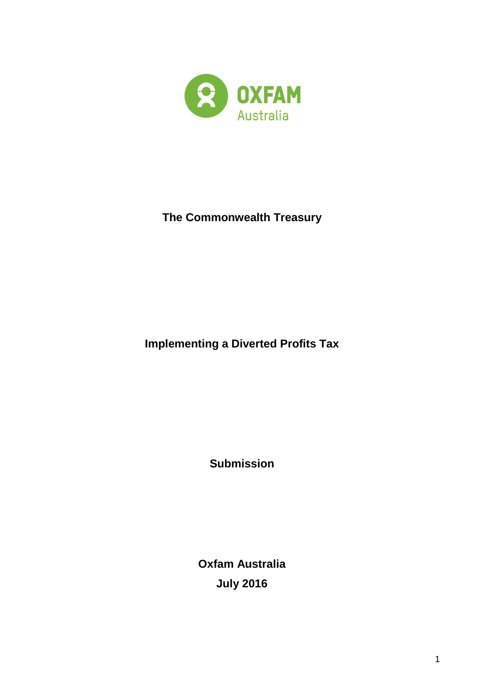

# **The Commonwealth Treasury**

**Implementing a Diverted Profits Tax**

**Submission**

**Oxfam Australia July 2016**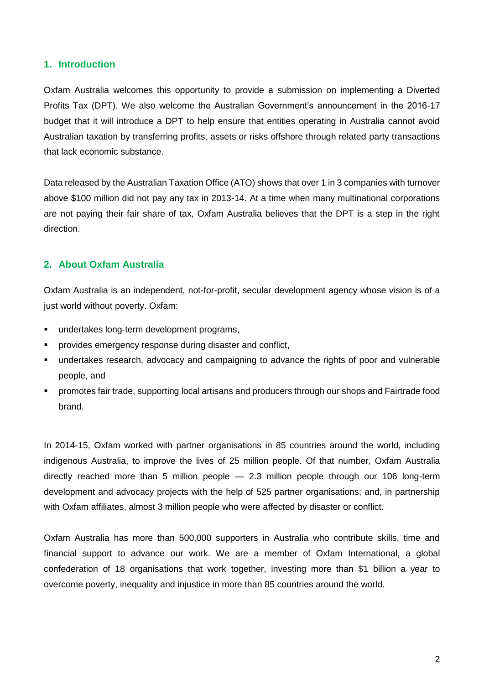#### **1. Introduction**

Oxfam Australia welcomes this opportunity to provide a submission on implementing a Diverted Profits Tax (DPT). We also welcome the Australian Government's announcement in the 2016-17 budget that it will introduce a DPT to help ensure that entities operating in Australia cannot avoid Australian taxation by transferring profits, assets or risks offshore through related party transactions that lack economic substance.

Data released by the Australian Taxation Office (ATO) shows that over 1 in 3 companies with turnover above \$100 million did not pay any tax in 2013-14. At a time when many multinational corporations are not paying their fair share of tax, Oxfam Australia believes that the DPT is a step in the right direction.

### **2. About Oxfam Australia**

Oxfam Australia is an independent, not-for-profit, secular development agency whose vision is of a just world without poverty. Oxfam:

- undertakes long-term development programs,
- provides emergency response during disaster and conflict,
- undertakes research, advocacy and campaigning to advance the rights of poor and vulnerable people, and
- promotes fair trade, supporting local artisans and producers through our shops and Fairtrade food brand.

In 2014-15, Oxfam worked with partner organisations in 85 countries around the world, including indigenous Australia, to improve the lives of 25 million people. Of that number, Oxfam Australia directly reached more than 5 million people — 2.3 million people through our 106 long-term development and advocacy projects with the help of 525 partner organisations; and, in partnership with Oxfam affiliates, almost 3 million people who were affected by disaster or conflict.

Oxfam Australia has more than 500,000 supporters in Australia who contribute skills, time and financial support to advance our work. We are a member of Oxfam International, a global confederation of 18 organisations that work together, investing more than \$1 billion a year to overcome poverty, inequality and injustice in more than 85 countries around the world.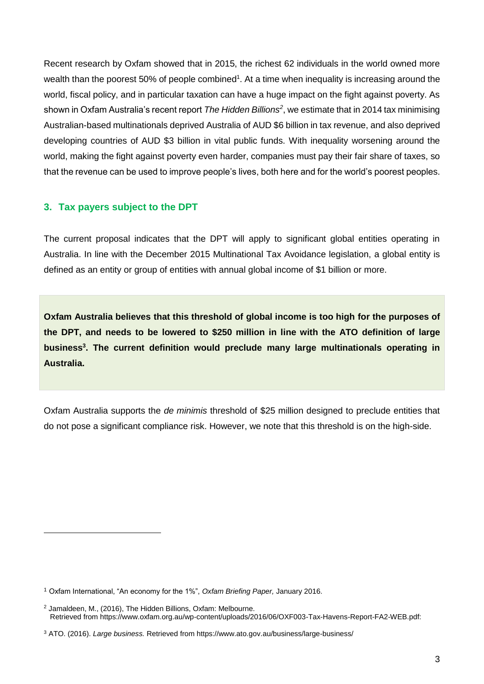Recent research by Oxfam showed that in 2015, the richest 62 individuals in the world owned more wealth than the poorest 50% of people combined<sup>1</sup>. At a time when inequality is increasing around the world, fiscal policy, and in particular taxation can have a huge impact on the fight against poverty. As shown in Oxfam Australia's recent report *The Hidden Billions<sup>2</sup>* , we estimate that in 2014 tax minimising Australian-based multinationals deprived Australia of AUD \$6 billion in tax revenue, and also deprived developing countries of AUD \$3 billion in vital public funds. With inequality worsening around the world, making the fight against poverty even harder, companies must pay their fair share of taxes, so that the revenue can be used to improve people's lives, both here and for the world's poorest peoples.

#### **3. Tax payers subject to the DPT**

-

The current proposal indicates that the DPT will apply to significant global entities operating in Australia. In line with the December 2015 Multinational Tax Avoidance legislation, a global entity is defined as an entity or group of entities with annual global income of \$1 billion or more.

**Oxfam Australia believes that this threshold of global income is too high for the purposes of the DPT, and needs to be lowered to \$250 million in line with the ATO definition of large business<sup>3</sup> . The current definition would preclude many large multinationals operating in Australia.** 

Oxfam Australia supports the *de minimis* threshold of \$25 million designed to preclude entities that do not pose a significant compliance risk. However, we note that this threshold is on the high-side.

<sup>1</sup> Oxfam International, "An economy for the 1%", *Oxfam Briefing Paper,* January 2016.

<sup>2</sup> Jamaldeen, M., (2016), The Hidden Billions, Oxfam: Melbourne. Retrieved from https://www.oxfam.org.au/wp-content/uploads/2016/06/OXF003-Tax-Havens-Report-FA2-WEB.pdf:

<sup>3</sup> ATO. (2016). *Large business.* Retrieved from https://www.ato.gov.au/business/large-business/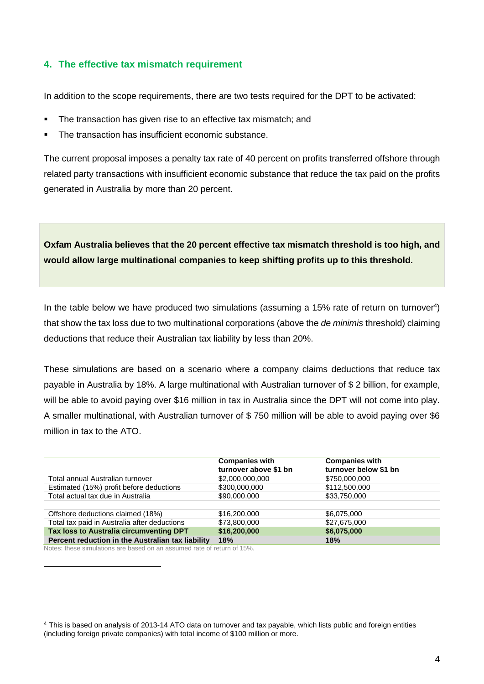### **4. The effective tax mismatch requirement**

In addition to the scope requirements, there are two tests required for the DPT to be activated:

- The transaction has given rise to an effective tax mismatch; and
- The transaction has insufficient economic substance.

The current proposal imposes a penalty tax rate of 40 percent on profits transferred offshore through related party transactions with insufficient economic substance that reduce the tax paid on the profits generated in Australia by more than 20 percent.

**Oxfam Australia believes that the 20 percent effective tax mismatch threshold is too high, and would allow large multinational companies to keep shifting profits up to this threshold.**

In the table below we have produced two simulations (assuming a 15% rate of return on turnover<sup>4</sup>) that show the tax loss due to two multinational corporations (above the *de minimis* threshold) claiming deductions that reduce their Australian tax liability by less than 20%.

These simulations are based on a scenario where a company claims deductions that reduce tax payable in Australia by 18%. A large multinational with Australian turnover of \$ 2 billion, for example, will be able to avoid paying over \$16 million in tax in Australia since the DPT will not come into play. A smaller multinational, with Australian turnover of \$ 750 million will be able to avoid paying over \$6 million in tax to the ATO.

|                                                   | <b>Companies with</b><br>turnover above \$1 bn | <b>Companies with</b><br>turnover below \$1 bn |
|---------------------------------------------------|------------------------------------------------|------------------------------------------------|
| Total annual Australian turnover                  | \$2,000,000,000                                | \$750,000,000                                  |
| Estimated (15%) profit before deductions          | \$300,000,000                                  | \$112,500,000                                  |
| Total actual tax due in Australia                 | \$90,000,000                                   | \$33,750,000                                   |
|                                                   |                                                |                                                |
| Offshore deductions claimed (18%)                 | \$16,200,000                                   | \$6,075,000                                    |
| Total tax paid in Australia after deductions      | \$73,800,000                                   | \$27,675,000                                   |
| Tax loss to Australia circumventing DPT           | \$16,200,000                                   | \$6,075,000                                    |
| Percent reduction in the Australian tax liability | 18%                                            | 18%                                            |

Notes: these simulations are based on an assumed rate of return of 15%.

-

<sup>4</sup> This is based on analysis of 2013-14 ATO data on turnover and tax payable, which lists public and foreign entities (including foreign private companies) with total income of \$100 million or more.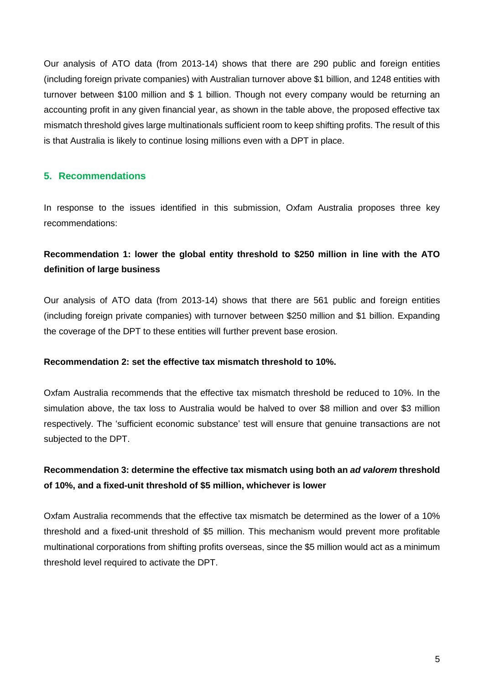Our analysis of ATO data (from 2013-14) shows that there are 290 public and foreign entities (including foreign private companies) with Australian turnover above \$1 billion, and 1248 entities with turnover between \$100 million and \$ 1 billion. Though not every company would be returning an accounting profit in any given financial year, as shown in the table above, the proposed effective tax mismatch threshold gives large multinationals sufficient room to keep shifting profits. The result of this is that Australia is likely to continue losing millions even with a DPT in place.

### **5. Recommendations**

In response to the issues identified in this submission, Oxfam Australia proposes three key recommendations:

## **Recommendation 1: lower the global entity threshold to \$250 million in line with the ATO definition of large business**

Our analysis of ATO data (from 2013-14) shows that there are 561 public and foreign entities (including foreign private companies) with turnover between \$250 million and \$1 billion. Expanding the coverage of the DPT to these entities will further prevent base erosion.

#### **Recommendation 2: set the effective tax mismatch threshold to 10%.**

Oxfam Australia recommends that the effective tax mismatch threshold be reduced to 10%. In the simulation above, the tax loss to Australia would be halved to over \$8 million and over \$3 million respectively. The 'sufficient economic substance' test will ensure that genuine transactions are not subjected to the DPT.

## **Recommendation 3: determine the effective tax mismatch using both an** *ad valorem* **threshold of 10%, and a fixed-unit threshold of \$5 million, whichever is lower**

Oxfam Australia recommends that the effective tax mismatch be determined as the lower of a 10% threshold and a fixed-unit threshold of \$5 million. This mechanism would prevent more profitable multinational corporations from shifting profits overseas, since the \$5 million would act as a minimum threshold level required to activate the DPT.